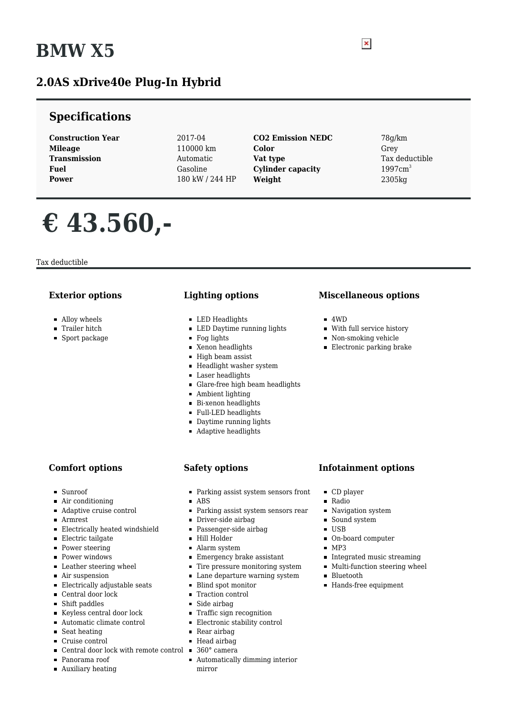# **BMW X5**

## **2.0AS xDrive40e Plug-In Hybrid**

### **Specifications**

**Construction Year** 2017-04 **Mileage** 110000 km **Transmission** Automatic **Fuel** Gasoline **Power** 180 kW / 244 HP

- **CO2 Emission NEDC** 78g/km **Color** Grey **Vat type** Tax deductible **Cylinder capacity** 1997cm<sup>3</sup> **Weight** 2305kg
- 

# **€ 43.560,-**

Tax deductible

#### **Exterior options**

- Alloy wheels
- **Trailer hitch**
- **Sport package**

#### **Lighting options**

- **LED** Headlights
- LED Daytime running lights
- Fog lights
- Xenon headlights
- High beam assist
- **Headlight washer system**
- **Laser headlights**
- Glare-free high beam headlights
- Ambient lighting
- **Bi-xenon headlights**
- Full-LED headlights
- **Daytime running lights**
- **Adaptive headlights**

#### **Comfort options**

- Sunroof
- $\blacksquare$ Air conditioning
- Adaptive cruise control
- Armrest
- Electrically heated windshield
- **Electric tailgate**
- Power steering
- **Power windows**
- Leather steering wheel
- Air suspension
- Electrically adjustable seats
- Central door lock
- Shift paddles
- Keyless central door lock
- $\blacksquare$ <br> <br> Automatic climate control
- Seat heating
- Cruise control
- Central door lock with remote control 360° camera
- Panorama roof
- **Auxiliary heating**

#### **Safety options**

- Parking assist system sensors front
- $\blacksquare$ ABS
- Parking assist system sensors rear  $\blacksquare$
- Driver-side airbag  $\blacksquare$
- Passenger-side airbag
- Hill Holder
- Alarm system
- **Emergency brake assistant**
- Tire pressure monitoring system
- **Lane departure warning system**
- Blind spot monitor
- **Traction control**
- Side airbag
- **Traffic sign recognition**
- Electronic stability control
- Rear airbag
- Head airbag
- 
- Automatically dimming interior mirror

#### **Miscellaneous options**

- $-4WD$
- With full service history
- Non-smoking vehicle
- Electronic parking brake

#### **Infotainment options**

- CD player
- $\blacksquare$ Radio
- Navigation system
- Sound system
- USB
- On-board computer
- $MPS$
- Integrated music streaming
- $\blacksquare$  Multi-function steering wheel
- **Bluetooth**
- Hands-free equipment

 $\pmb{\times}$